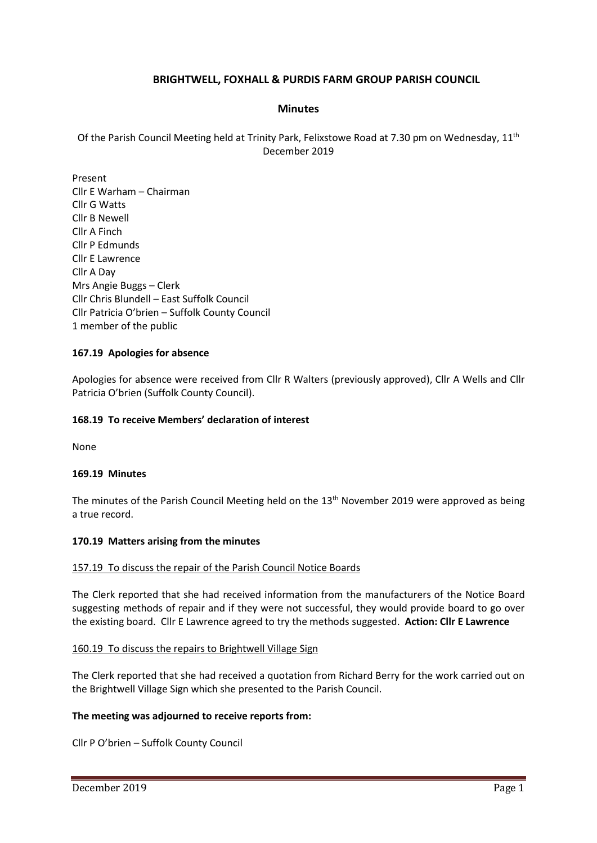# **BRIGHTWELL, FOXHALL & PURDIS FARM GROUP PARISH COUNCIL**

### **Minutes**

Of the Parish Council Meeting held at Trinity Park, Felixstowe Road at 7.30 pm on Wednesday, 11<sup>th</sup> December 2019

Present Cllr E Warham – Chairman Cllr G Watts Cllr B Newell Cllr A Finch Cllr P Edmunds Cllr E Lawrence Cllr A Day Mrs Angie Buggs – Clerk Cllr Chris Blundell – East Suffolk Council Cllr Patricia O'brien – Suffolk County Council 1 member of the public

#### **167.19 Apologies for absence**

Apologies for absence were received from Cllr R Walters (previously approved), Cllr A Wells and Cllr Patricia O'brien (Suffolk County Council).

#### **168.19 To receive Members' declaration of interest**

None

#### **169.19 Minutes**

The minutes of the Parish Council Meeting held on the 13<sup>th</sup> November 2019 were approved as being a true record.

#### **170.19 Matters arising from the minutes**

#### 157.19 To discuss the repair of the Parish Council Notice Boards

The Clerk reported that she had received information from the manufacturers of the Notice Board suggesting methods of repair and if they were not successful, they would provide board to go over the existing board. Cllr E Lawrence agreed to try the methods suggested. **Action: Cllr E Lawrence**

#### 160.19 To discuss the repairs to Brightwell Village Sign

The Clerk reported that she had received a quotation from Richard Berry for the work carried out on the Brightwell Village Sign which she presented to the Parish Council.

#### **The meeting was adjourned to receive reports from:**

Cllr P O'brien – Suffolk County Council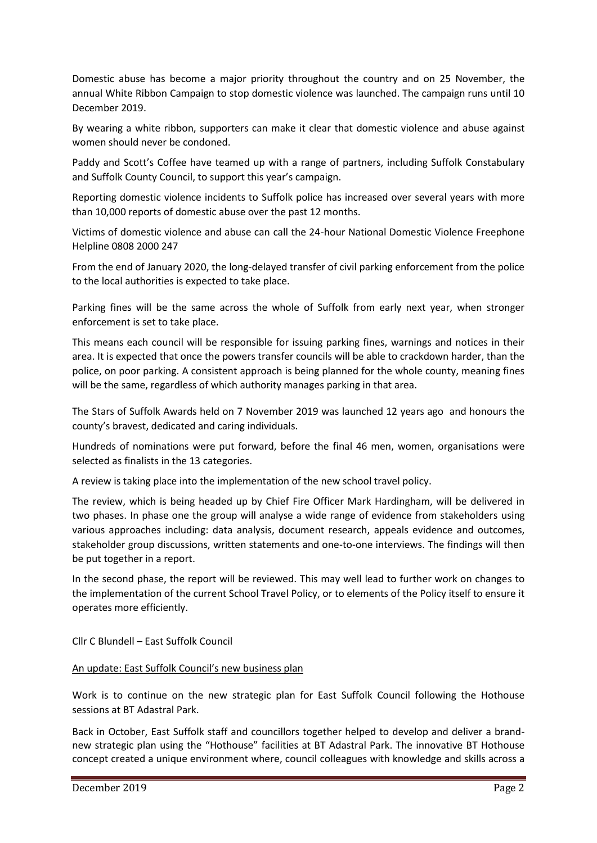Domestic abuse has become a major priority throughout the country and on 25 November, the annual White Ribbon Campaign to stop domestic violence was launched. The campaign runs until 10 December 2019.

By wearing a white ribbon, supporters can make it clear that domestic violence and abuse against women should never be condoned.

Paddy and Scott's Coffee have teamed up with a range of partners, including Suffolk Constabulary and Suffolk County Council, to support this year's campaign.

Reporting domestic violence incidents to Suffolk police has increased over several years with more than 10,000 reports of domestic abuse over the past 12 months.

Victims of domestic violence and abuse can call the 24-hour National Domestic Violence Freephone Helpline 0808 2000 247

From the end of January 2020, the long-delayed transfer of civil parking enforcement from the police to the local authorities is expected to take place.

Parking fines will be the same across the whole of Suffolk from early next year, when stronger enforcement is set to take place.

This means each council will be responsible for issuing parking fines, warnings and notices in their area. It is expected that once the powers transfer councils will be able to crackdown harder, than the police, on poor parking. A consistent approach is being planned for the whole county, meaning fines will be the same, regardless of which authority manages parking in that area.

The Stars of Suffolk Awards held on 7 November 2019 was launched 12 years ago and honours the county's bravest, dedicated and caring individuals.

Hundreds of nominations were put forward, before the final 46 men, women, organisations were selected as finalists in the 13 categories.

A review is taking place into the implementation of the new school travel policy.

The review, which is being headed up by Chief Fire Officer Mark Hardingham, will be delivered in two phases. In phase one the group will analyse a wide range of evidence from stakeholders using various approaches including: data analysis, document research, appeals evidence and outcomes, stakeholder group discussions, written statements and one-to-one interviews. The findings will then be put together in a report.

In the second phase, the report will be reviewed. This may well lead to further work on changes to the implementation of the current School Travel Policy, or to elements of the Policy itself to ensure it operates more efficiently.

Cllr C Blundell – East Suffolk Council

#### An update: East Suffolk Council's new business plan

Work is to continue on the new strategic plan for East Suffolk Council following the Hothouse sessions at BT Adastral Park.

Back in October, East Suffolk staff and councillors together helped to develop and deliver a brandnew strategic plan using the "Hothouse" facilities at BT Adastral Park. The innovative BT Hothouse concept created a unique environment where, council colleagues with knowledge and skills across a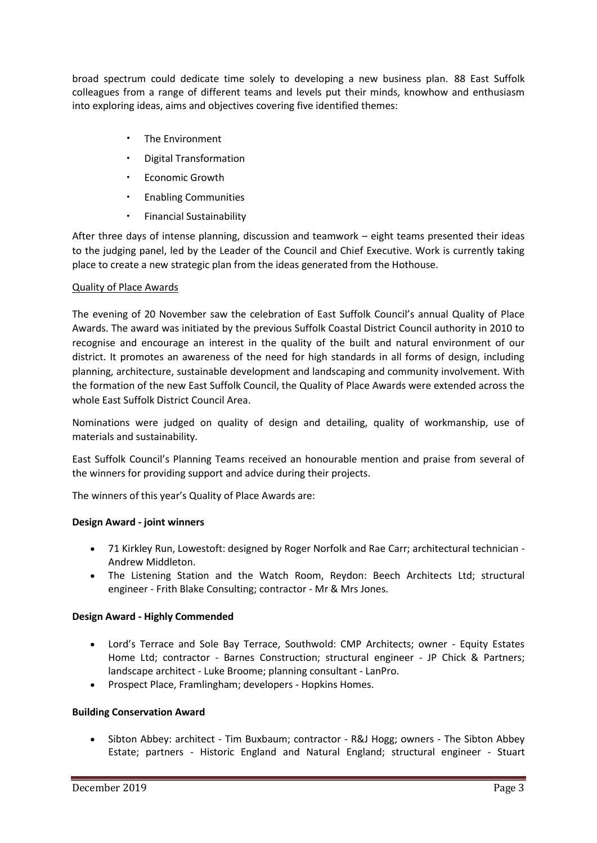broad spectrum could dedicate time solely to developing a new business plan. 88 East Suffolk colleagues from a range of different teams and levels put their minds, knowhow and enthusiasm into exploring ideas, aims and objectives covering five identified themes:

- The Environment
- Digital Transformation
- Economic Growth
- Enabling Communities
- Financial Sustainability

After three days of intense planning, discussion and teamwork – eight teams presented their ideas to the judging panel, led by the Leader of the Council and Chief Executive. Work is currently taking place to create a new strategic plan from the ideas generated from the Hothouse.

### Quality of Place Awards

The evening of 20 November saw the celebration of East Suffolk Council's annual Quality of Place Awards. The award was initiated by the previous Suffolk Coastal District Council authority in 2010 to recognise and encourage an interest in the quality of the built and natural environment of our district. It promotes an awareness of the need for high standards in all forms of design, including planning, architecture, sustainable development and landscaping and community involvement. With the formation of the new East Suffolk Council, the Quality of Place Awards were extended across the whole East Suffolk District Council Area.

Nominations were judged on quality of design and detailing, quality of workmanship, use of materials and sustainability.

East Suffolk Council's Planning Teams received an honourable mention and praise from several of the winners for providing support and advice during their projects.

The winners of this year's Quality of Place Awards are:

# **Design Award - joint winners**

- 71 Kirkley Run, Lowestoft: designed by Roger Norfolk and Rae Carr; architectural technician Andrew Middleton.
- The Listening Station and the Watch Room, Reydon: Beech Architects Ltd; structural engineer - Frith Blake Consulting; contractor - Mr & Mrs Jones.

#### **Design Award - Highly Commended**

- Lord's Terrace and Sole Bay Terrace, Southwold: CMP Architects; owner Equity Estates Home Ltd; contractor - Barnes Construction; structural engineer - JP Chick & Partners; landscape architect - Luke Broome; planning consultant - LanPro.
- Prospect Place, Framlingham; developers Hopkins Homes.

#### **Building Conservation Award**

• Sibton Abbey: architect - Tim Buxbaum; contractor - R&J Hogg; owners - The Sibton Abbey Estate; partners - Historic England and Natural England; structural engineer - Stuart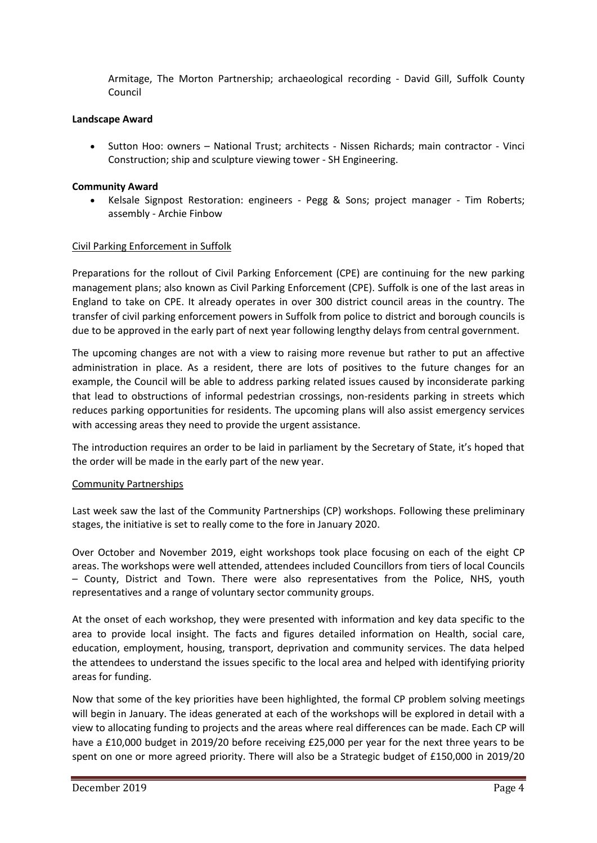Armitage, The Morton Partnership; archaeological recording - David Gill, Suffolk County Council

### **Landscape Award**

• Sutton Hoo: owners – National Trust; architects - Nissen Richards; main contractor - Vinci Construction; ship and sculpture viewing tower - SH Engineering.

#### **Community Award**

• Kelsale Signpost Restoration: engineers - Pegg & Sons; project manager - Tim Roberts; assembly - Archie Finbow

### Civil Parking Enforcement in Suffolk

Preparations for the rollout of Civil Parking Enforcement (CPE) are continuing for the new parking management plans; also known as Civil Parking Enforcement (CPE). Suffolk is one of the last areas in England to take on CPE. It already operates in over 300 district council areas in the country. The transfer of civil parking enforcement powers in Suffolk from police to district and borough councils is due to be approved in the early part of next year following lengthy delays from central government.

The upcoming changes are not with a view to raising more revenue but rather to put an affective administration in place. As a resident, there are lots of positives to the future changes for an example, the Council will be able to address parking related issues caused by inconsiderate parking that lead to obstructions of informal pedestrian crossings, non-residents parking in streets which reduces parking opportunities for residents. The upcoming plans will also assist emergency services with accessing areas they need to provide the urgent assistance.

The introduction requires an order to be laid in parliament by the Secretary of State, it's hoped that the order will be made in the early part of the new year.

#### Community Partnerships

Last week saw the last of the Community Partnerships (CP) workshops. Following these preliminary stages, the initiative is set to really come to the fore in January 2020.

Over October and November 2019, eight workshops took place focusing on each of the eight CP areas. The workshops were well attended, attendees included Councillors from tiers of local Councils – County, District and Town. There were also representatives from the Police, NHS, youth representatives and a range of voluntary sector community groups.

At the onset of each workshop, they were presented with information and key data specific to the area to provide local insight. The facts and figures detailed information on Health, social care, education, employment, housing, transport, deprivation and community services. The data helped the attendees to understand the issues specific to the local area and helped with identifying priority areas for funding.

Now that some of the key priorities have been highlighted, the formal CP problem solving meetings will begin in January. The ideas generated at each of the workshops will be explored in detail with a view to allocating funding to projects and the areas where real differences can be made. Each CP will have a £10,000 budget in 2019/20 before receiving £25,000 per year for the next three years to be spent on one or more agreed priority. There will also be a Strategic budget of £150,000 in 2019/20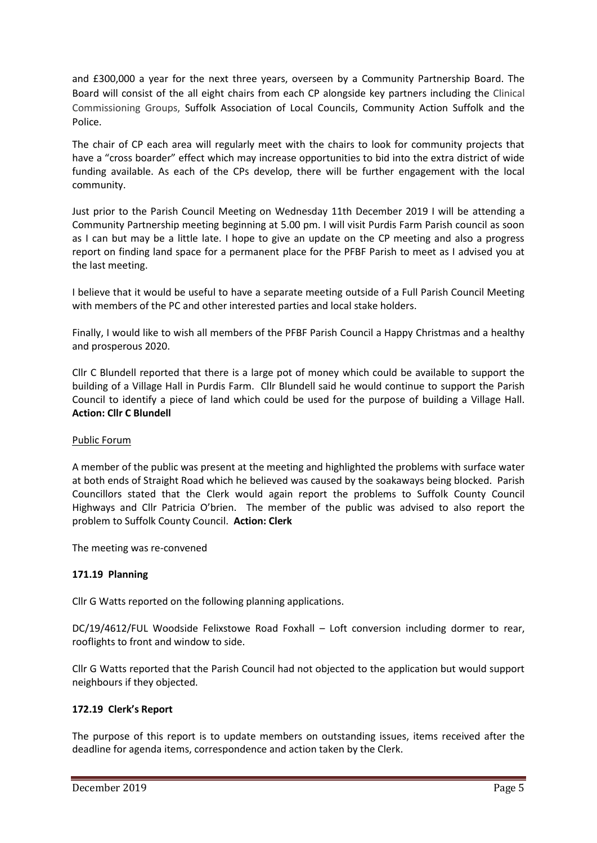and £300,000 a year for the next three years, overseen by a Community Partnership Board. The Board will consist of the all eight chairs from each CP alongside key partners including the Clinical Commissioning Groups, Suffolk Association of Local Councils, Community Action Suffolk and the Police.

The chair of CP each area will regularly meet with the chairs to look for community projects that have a "cross boarder" effect which may increase opportunities to bid into the extra district of wide funding available. As each of the CPs develop, there will be further engagement with the local community.

Just prior to the Parish Council Meeting on Wednesday 11th December 2019 I will be attending a Community Partnership meeting beginning at 5.00 pm. I will visit Purdis Farm Parish council as soon as I can but may be a little late. I hope to give an update on the CP meeting and also a progress report on finding land space for a permanent place for the PFBF Parish to meet as I advised you at the last meeting.

I believe that it would be useful to have a separate meeting outside of a Full Parish Council Meeting with members of the PC and other interested parties and local stake holders.

Finally, I would like to wish all members of the PFBF Parish Council a Happy Christmas and a healthy and prosperous 2020.

Cllr C Blundell reported that there is a large pot of money which could be available to support the building of a Village Hall in Purdis Farm. Cllr Blundell said he would continue to support the Parish Council to identify a piece of land which could be used for the purpose of building a Village Hall. **Action: Cllr C Blundell**

#### Public Forum

A member of the public was present at the meeting and highlighted the problems with surface water at both ends of Straight Road which he believed was caused by the soakaways being blocked. Parish Councillors stated that the Clerk would again report the problems to Suffolk County Council Highways and Cllr Patricia O'brien. The member of the public was advised to also report the problem to Suffolk County Council. **Action: Clerk**

The meeting was re-convened

# **171.19 Planning**

Cllr G Watts reported on the following planning applications.

DC/19/4612/FUL Woodside Felixstowe Road Foxhall – Loft conversion including dormer to rear, rooflights to front and window to side.

Cllr G Watts reported that the Parish Council had not objected to the application but would support neighbours if they objected.

### **172.19 Clerk's Report**

The purpose of this report is to update members on outstanding issues, items received after the deadline for agenda items, correspondence and action taken by the Clerk.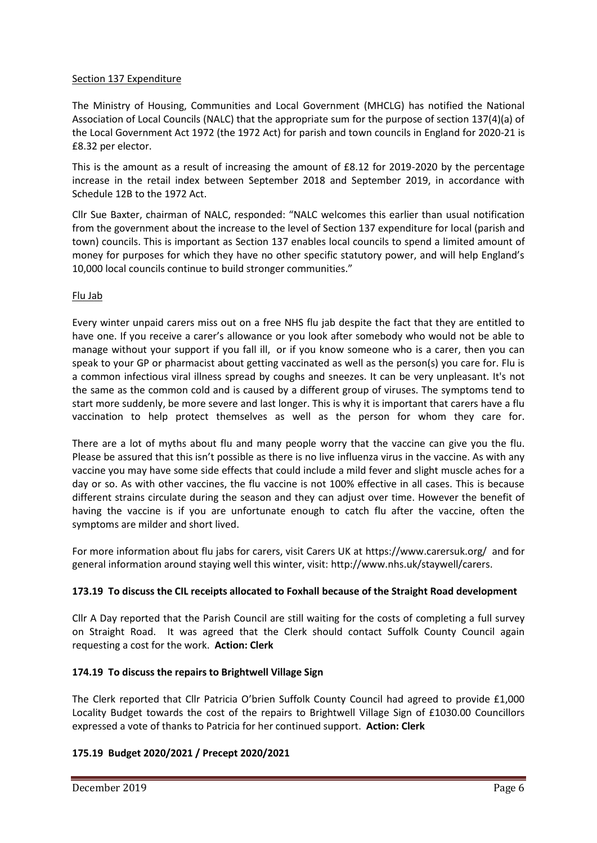### Section 137 Expenditure

The Ministry of Housing, Communities and Local Government (MHCLG) has notified the National Association of Local Councils (NALC) that the appropriate sum for the purpose of section 137(4)(a) of the Local Government Act 1972 (the 1972 Act) for parish and town councils in England for 2020-21 is £8.32 per elector.

This is the amount as a result of increasing the amount of £8.12 for 2019-2020 by the percentage increase in the retail index between September 2018 and September 2019, in accordance with Schedule 12B to the 1972 Act.

Cllr Sue Baxter, chairman of NALC, responded: "NALC welcomes this earlier than usual notification from the government about the increase to the level of Section 137 expenditure for local (parish and town) councils. This is important as Section 137 enables local councils to spend a limited amount of money for purposes for which they have no other specific statutory power, and will help England's 10,000 local councils continue to build stronger communities."

# Flu Jab

Every winter unpaid carers miss out on a free NHS flu jab despite the fact that they are entitled to have one. If you receive a carer's allowance or you look after somebody who would not be able to manage without your support if you fall ill, or if you know someone who is a carer, then you can speak to your GP or pharmacist about getting vaccinated as well as the person(s) you care for. Flu is a common infectious viral illness spread by coughs and sneezes. It can be very unpleasant. It's not the same as the common cold and is caused by a different group of viruses. The symptoms tend to start more suddenly, be more severe and last longer. This is why it is important that carers have a flu vaccination to help protect themselves as well as the person for whom they care for.

There are a lot of myths about flu and many people worry that the vaccine can give you the flu. Please be assured that this isn't possible as there is no live influenza virus in the vaccine. As with any vaccine you may have some side effects that could include a mild fever and slight muscle aches for a day or so. As with other vaccines, the flu vaccine is not 100% effective in all cases. This is because different strains circulate during the season and they can adjust over time. However the benefit of having the vaccine is if you are unfortunate enough to catch flu after the vaccine, often the symptoms are milder and short lived.

For more information about flu jabs for carers, visit Carers UK at [https://www.carersuk.org/](https://onesuffolk.us10.list-manage.com/track/click?u=47b90ac34c3466a0c3f5f96d0&id=1da07f6c41&e=23d4e89f1a) and for general information around staying well this winter, visit: [http://www.nhs.uk/staywell/carers.](https://onesuffolk.us10.list-manage.com/track/click?u=47b90ac34c3466a0c3f5f96d0&id=9d5f8f2e2e&e=23d4e89f1a)

# **173.19 To discuss the CIL receipts allocated to Foxhall because of the Straight Road development**

Cllr A Day reported that the Parish Council are still waiting for the costs of completing a full survey on Straight Road. It was agreed that the Clerk should contact Suffolk County Council again requesting a cost for the work. **Action: Clerk**

# **174.19 To discuss the repairs to Brightwell Village Sign**

The Clerk reported that Cllr Patricia O'brien Suffolk County Council had agreed to provide £1,000 Locality Budget towards the cost of the repairs to Brightwell Village Sign of £1030.00 Councillors expressed a vote of thanks to Patricia for her continued support. **Action: Clerk**

# **175.19 Budget 2020/2021 / Precept 2020/2021**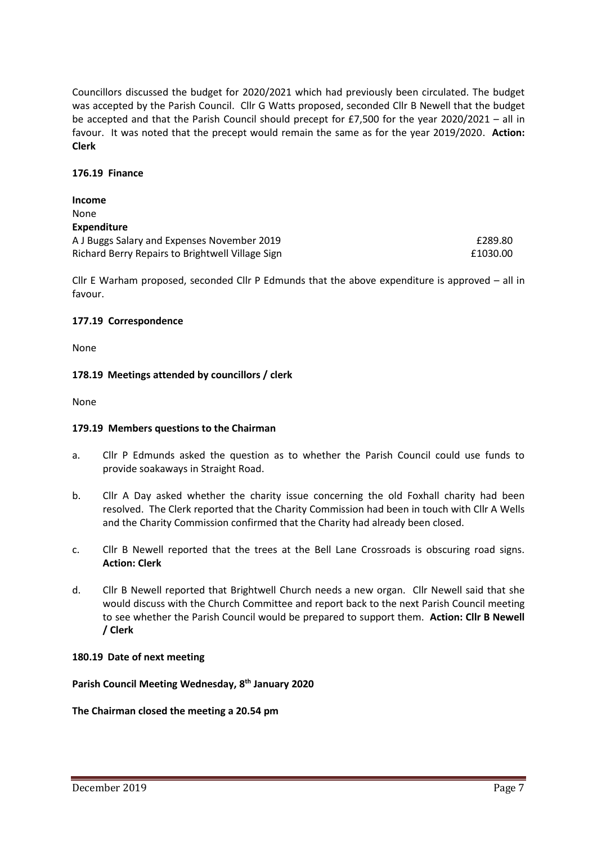Councillors discussed the budget for 2020/2021 which had previously been circulated. The budget was accepted by the Parish Council. Cllr G Watts proposed, seconded Cllr B Newell that the budget be accepted and that the Parish Council should precept for £7,500 for the year 2020/2021 – all in favour. It was noted that the precept would remain the same as for the year 2019/2020. **Action: Clerk**

#### **176.19 Finance**

| <b>Income</b>                                    |          |
|--------------------------------------------------|----------|
| None                                             |          |
| <b>Expenditure</b>                               |          |
| A J Buggs Salary and Expenses November 2019      | £289.80  |
| Richard Berry Repairs to Brightwell Village Sign | £1030.00 |

Cllr E Warham proposed, seconded Cllr P Edmunds that the above expenditure is approved – all in favour.

#### **177.19 Correspondence**

None

#### **178.19 Meetings attended by councillors / clerk**

None

#### **179.19 Members questions to the Chairman**

- a. Cllr P Edmunds asked the question as to whether the Parish Council could use funds to provide soakaways in Straight Road.
- b. Cllr A Day asked whether the charity issue concerning the old Foxhall charity had been resolved. The Clerk reported that the Charity Commission had been in touch with Cllr A Wells and the Charity Commission confirmed that the Charity had already been closed.
- c. Cllr B Newell reported that the trees at the Bell Lane Crossroads is obscuring road signs. **Action: Clerk**
- d. Cllr B Newell reported that Brightwell Church needs a new organ. Cllr Newell said that she would discuss with the Church Committee and report back to the next Parish Council meeting to see whether the Parish Council would be prepared to support them. **Action: Cllr B Newell / Clerk**

#### **180.19 Date of next meeting**

**Parish Council Meeting Wednesday, 8 th January 2020**

#### **The Chairman closed the meeting a 20.54 pm**